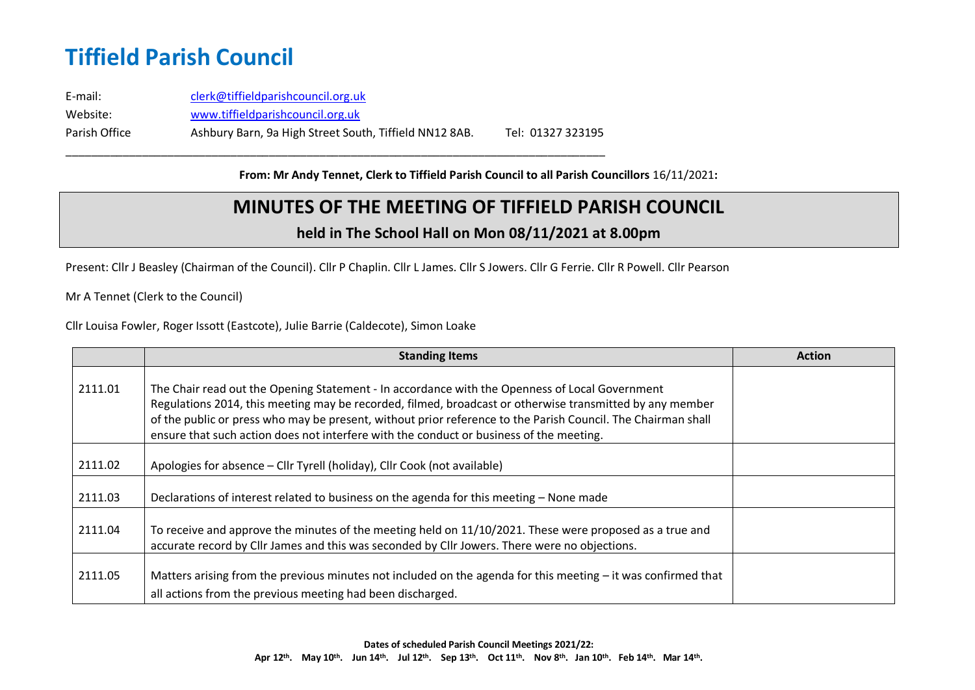E-mail: [clerk@tiffieldparishcouncil.org.uk](mailto:clerk@tiffieldparishcouncil.org.uk) Website: [www.tiffieldparishcouncil.org.uk](http://www.tiffieldparishcouncil.org.uk/) Parish Office Ashbury Barn, 9a High Street South, Tiffield NN12 8AB. Tel: 01327 323195

\_\_\_\_\_\_\_\_\_\_\_\_\_\_\_\_\_\_\_\_\_\_\_\_\_\_\_\_\_\_\_\_\_\_\_\_\_\_\_\_\_\_\_\_\_\_\_\_\_\_\_\_\_\_\_\_\_\_\_\_\_\_\_\_\_\_\_\_\_\_\_\_\_\_\_\_\_\_\_\_\_\_\_\_\_

**From: Mr Andy Tennet, Clerk to Tiffield Parish Council to all Parish Councillors** 16/11/2021**:**

#### **MINUTES OF THE MEETING OF TIFFIELD PARISH COUNCIL**

#### **held in The School Hall on Mon 08/11/2021 at 8.00pm**

Present: Cllr J Beasley (Chairman of the Council). Cllr P Chaplin. Cllr L James. Cllr S Jowers. Cllr G Ferrie. Cllr R Powell. Cllr Pearson

Mr A Tennet (Clerk to the Council)

Cllr Louisa Fowler, Roger Issott (Eastcote), Julie Barrie (Caldecote), Simon Loake

|         | <b>Standing Items</b>                                                                                                                                                                                                                                                                                                                                                                                                 | <b>Action</b> |
|---------|-----------------------------------------------------------------------------------------------------------------------------------------------------------------------------------------------------------------------------------------------------------------------------------------------------------------------------------------------------------------------------------------------------------------------|---------------|
| 2111.01 | The Chair read out the Opening Statement - In accordance with the Openness of Local Government<br>Regulations 2014, this meeting may be recorded, filmed, broadcast or otherwise transmitted by any member<br>of the public or press who may be present, without prior reference to the Parish Council. The Chairman shall<br>ensure that such action does not interfere with the conduct or business of the meeting. |               |
| 2111.02 | Apologies for absence - Cllr Tyrell (holiday), Cllr Cook (not available)                                                                                                                                                                                                                                                                                                                                              |               |
| 2111.03 | Declarations of interest related to business on the agenda for this meeting - None made                                                                                                                                                                                                                                                                                                                               |               |
| 2111.04 | To receive and approve the minutes of the meeting held on 11/10/2021. These were proposed as a true and<br>accurate record by Cllr James and this was seconded by Cllr Jowers. There were no objections.                                                                                                                                                                                                              |               |
| 2111.05 | Matters arising from the previous minutes not included on the agenda for this meeting $-$ it was confirmed that<br>all actions from the previous meeting had been discharged.                                                                                                                                                                                                                                         |               |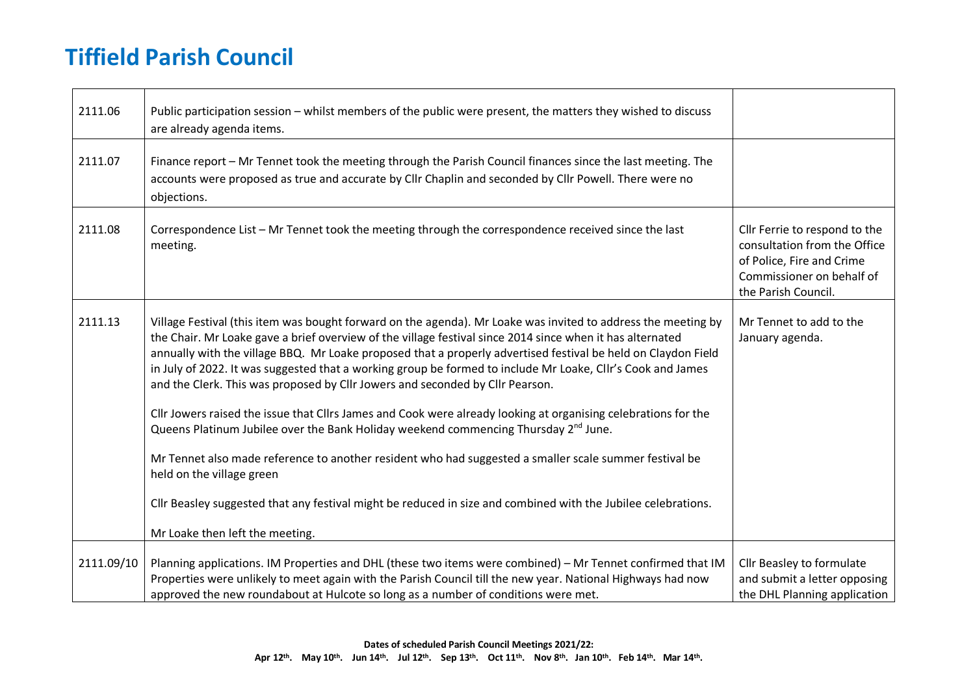| 2111.06    | Public participation session - whilst members of the public were present, the matters they wished to discuss<br>are already agenda items.                                                                                                                                                                                                                                                                                                                                                                                                                                                                                                                                                                                                                                                                                                                                                                                                                                                                                                                   |                                                                                                                                                |
|------------|-------------------------------------------------------------------------------------------------------------------------------------------------------------------------------------------------------------------------------------------------------------------------------------------------------------------------------------------------------------------------------------------------------------------------------------------------------------------------------------------------------------------------------------------------------------------------------------------------------------------------------------------------------------------------------------------------------------------------------------------------------------------------------------------------------------------------------------------------------------------------------------------------------------------------------------------------------------------------------------------------------------------------------------------------------------|------------------------------------------------------------------------------------------------------------------------------------------------|
| 2111.07    | Finance report - Mr Tennet took the meeting through the Parish Council finances since the last meeting. The<br>accounts were proposed as true and accurate by Cllr Chaplin and seconded by Cllr Powell. There were no<br>objections.                                                                                                                                                                                                                                                                                                                                                                                                                                                                                                                                                                                                                                                                                                                                                                                                                        |                                                                                                                                                |
| 2111.08    | Correspondence List - Mr Tennet took the meeting through the correspondence received since the last<br>meeting.                                                                                                                                                                                                                                                                                                                                                                                                                                                                                                                                                                                                                                                                                                                                                                                                                                                                                                                                             | Cllr Ferrie to respond to the<br>consultation from the Office<br>of Police, Fire and Crime<br>Commissioner on behalf of<br>the Parish Council. |
| 2111.13    | Village Festival (this item was bought forward on the agenda). Mr Loake was invited to address the meeting by<br>the Chair. Mr Loake gave a brief overview of the village festival since 2014 since when it has alternated<br>annually with the village BBQ. Mr Loake proposed that a properly advertised festival be held on Claydon Field<br>in July of 2022. It was suggested that a working group be formed to include Mr Loake, Cllr's Cook and James<br>and the Clerk. This was proposed by Cllr Jowers and seconded by Cllr Pearson.<br>Cllr Jowers raised the issue that Cllrs James and Cook were already looking at organising celebrations for the<br>Queens Platinum Jubilee over the Bank Holiday weekend commencing Thursday 2 <sup>nd</sup> June.<br>Mr Tennet also made reference to another resident who had suggested a smaller scale summer festival be<br>held on the village green<br>Cllr Beasley suggested that any festival might be reduced in size and combined with the Jubilee celebrations.<br>Mr Loake then left the meeting. | Mr Tennet to add to the<br>January agenda.                                                                                                     |
|            |                                                                                                                                                                                                                                                                                                                                                                                                                                                                                                                                                                                                                                                                                                                                                                                                                                                                                                                                                                                                                                                             |                                                                                                                                                |
| 2111.09/10 | Planning applications. IM Properties and DHL (these two items were combined) - Mr Tennet confirmed that IM<br>Properties were unlikely to meet again with the Parish Council till the new year. National Highways had now<br>approved the new roundabout at Hulcote so long as a number of conditions were met.                                                                                                                                                                                                                                                                                                                                                                                                                                                                                                                                                                                                                                                                                                                                             | Cllr Beasley to formulate<br>and submit a letter opposing<br>the DHL Planning application                                                      |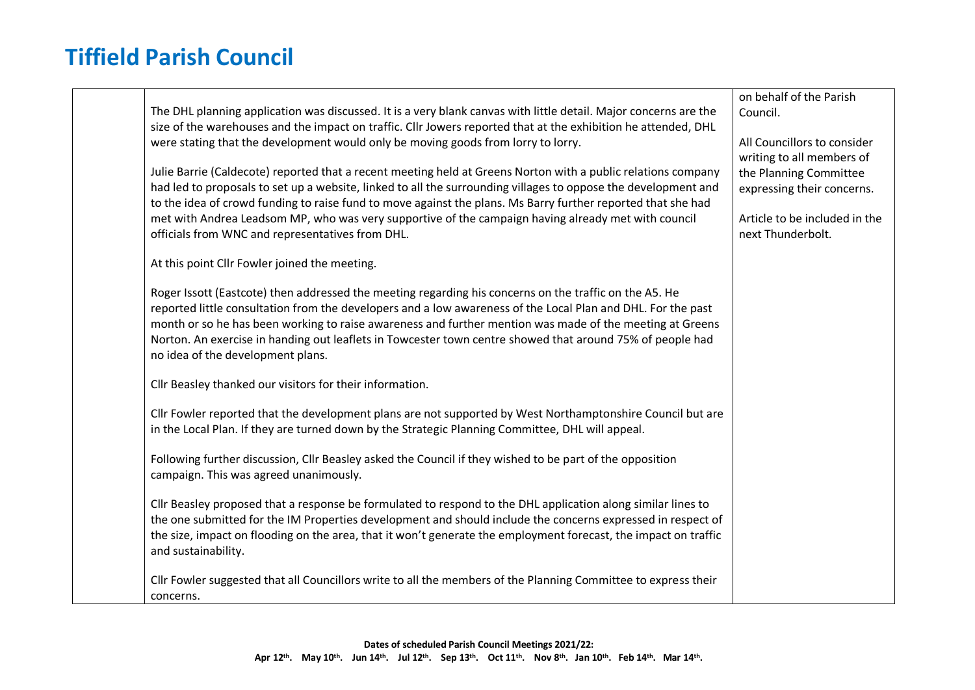| The DHL planning application was discussed. It is a very blank canvas with little detail. Major concerns are the<br>size of the warehouses and the impact on traffic. Cllr Jowers reported that at the exhibition he attended, DHL<br>were stating that the development would only be moving goods from lorry to lorry.<br>Julie Barrie (Caldecote) reported that a recent meeting held at Greens Norton with a public relations company<br>had led to proposals to set up a website, linked to all the surrounding villages to oppose the development and<br>to the idea of crowd funding to raise fund to move against the plans. Ms Barry further reported that she had<br>met with Andrea Leadsom MP, who was very supportive of the campaign having already met with council<br>officials from WNC and representatives from DHL. | on behalf of the Parish<br>Council.<br>All Councillors to consider<br>writing to all members of<br>the Planning Committee<br>expressing their concerns.<br>Article to be included in the<br>next Thunderbolt. |
|---------------------------------------------------------------------------------------------------------------------------------------------------------------------------------------------------------------------------------------------------------------------------------------------------------------------------------------------------------------------------------------------------------------------------------------------------------------------------------------------------------------------------------------------------------------------------------------------------------------------------------------------------------------------------------------------------------------------------------------------------------------------------------------------------------------------------------------|---------------------------------------------------------------------------------------------------------------------------------------------------------------------------------------------------------------|
| At this point Cllr Fowler joined the meeting.                                                                                                                                                                                                                                                                                                                                                                                                                                                                                                                                                                                                                                                                                                                                                                                         |                                                                                                                                                                                                               |
| Roger Issott (Eastcote) then addressed the meeting regarding his concerns on the traffic on the A5. He<br>reported little consultation from the developers and a low awareness of the Local Plan and DHL. For the past<br>month or so he has been working to raise awareness and further mention was made of the meeting at Greens<br>Norton. An exercise in handing out leaflets in Towcester town centre showed that around 75% of people had<br>no idea of the development plans.                                                                                                                                                                                                                                                                                                                                                  |                                                                                                                                                                                                               |
| Cllr Beasley thanked our visitors for their information.                                                                                                                                                                                                                                                                                                                                                                                                                                                                                                                                                                                                                                                                                                                                                                              |                                                                                                                                                                                                               |
| Cllr Fowler reported that the development plans are not supported by West Northamptonshire Council but are<br>in the Local Plan. If they are turned down by the Strategic Planning Committee, DHL will appeal.                                                                                                                                                                                                                                                                                                                                                                                                                                                                                                                                                                                                                        |                                                                                                                                                                                                               |
| Following further discussion, Cllr Beasley asked the Council if they wished to be part of the opposition<br>campaign. This was agreed unanimously.                                                                                                                                                                                                                                                                                                                                                                                                                                                                                                                                                                                                                                                                                    |                                                                                                                                                                                                               |
| Cllr Beasley proposed that a response be formulated to respond to the DHL application along similar lines to<br>the one submitted for the IM Properties development and should include the concerns expressed in respect of<br>the size, impact on flooding on the area, that it won't generate the employment forecast, the impact on traffic<br>and sustainability.                                                                                                                                                                                                                                                                                                                                                                                                                                                                 |                                                                                                                                                                                                               |
| Cllr Fowler suggested that all Councillors write to all the members of the Planning Committee to express their<br>concerns.                                                                                                                                                                                                                                                                                                                                                                                                                                                                                                                                                                                                                                                                                                           |                                                                                                                                                                                                               |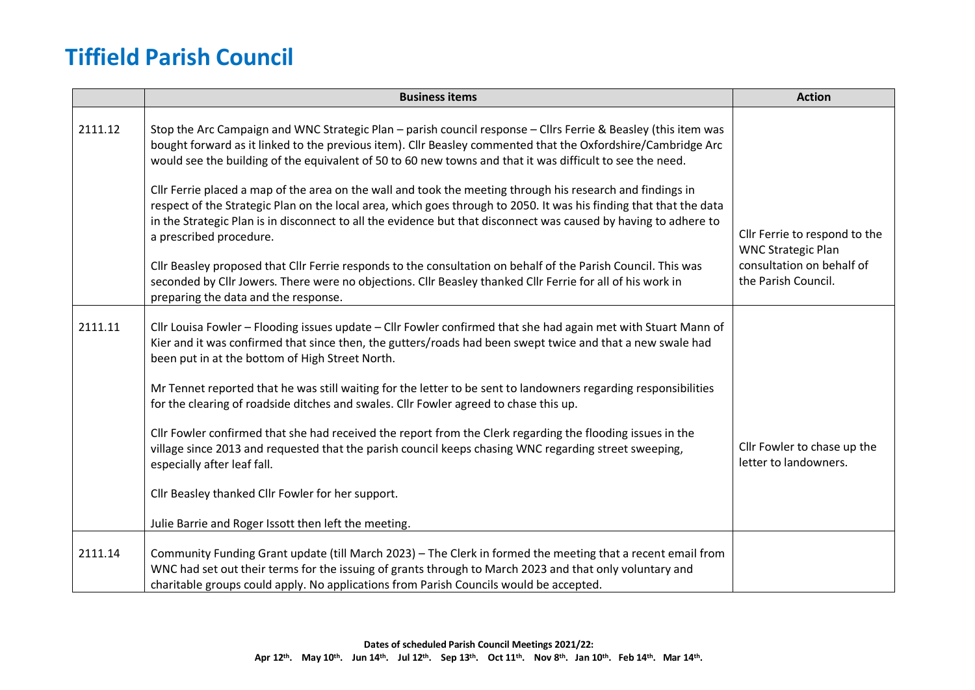|         | <b>Business items</b>                                                                                                                                                                                                                                                                                                                                                                                                                                                                                                                                                                                                                                                                                                          | <b>Action</b>                                                                 |
|---------|--------------------------------------------------------------------------------------------------------------------------------------------------------------------------------------------------------------------------------------------------------------------------------------------------------------------------------------------------------------------------------------------------------------------------------------------------------------------------------------------------------------------------------------------------------------------------------------------------------------------------------------------------------------------------------------------------------------------------------|-------------------------------------------------------------------------------|
| 2111.12 | Stop the Arc Campaign and WNC Strategic Plan - parish council response - Cllrs Ferrie & Beasley (this item was<br>bought forward as it linked to the previous item). Cllr Beasley commented that the Oxfordshire/Cambridge Arc<br>would see the building of the equivalent of 50 to 60 new towns and that it was difficult to see the need.<br>Cllr Ferrie placed a map of the area on the wall and took the meeting through his research and findings in<br>respect of the Strategic Plan on the local area, which goes through to 2050. It was his finding that that the data<br>in the Strategic Plan is in disconnect to all the evidence but that disconnect was caused by having to adhere to<br>a prescribed procedure. | Cllr Ferrie to respond to the                                                 |
|         | Cllr Beasley proposed that Cllr Ferrie responds to the consultation on behalf of the Parish Council. This was<br>seconded by Cllr Jowers. There were no objections. Cllr Beasley thanked Cllr Ferrie for all of his work in<br>preparing the data and the response.                                                                                                                                                                                                                                                                                                                                                                                                                                                            | <b>WNC Strategic Plan</b><br>consultation on behalf of<br>the Parish Council. |
| 2111.11 | Cllr Louisa Fowler - Flooding issues update - Cllr Fowler confirmed that she had again met with Stuart Mann of<br>Kier and it was confirmed that since then, the gutters/roads had been swept twice and that a new swale had<br>been put in at the bottom of High Street North.                                                                                                                                                                                                                                                                                                                                                                                                                                                |                                                                               |
|         | Mr Tennet reported that he was still waiting for the letter to be sent to landowners regarding responsibilities<br>for the clearing of roadside ditches and swales. Cllr Fowler agreed to chase this up.                                                                                                                                                                                                                                                                                                                                                                                                                                                                                                                       |                                                                               |
|         | Cllr Fowler confirmed that she had received the report from the Clerk regarding the flooding issues in the<br>village since 2013 and requested that the parish council keeps chasing WNC regarding street sweeping,<br>especially after leaf fall.                                                                                                                                                                                                                                                                                                                                                                                                                                                                             | Cllr Fowler to chase up the<br>letter to landowners.                          |
|         | Cllr Beasley thanked Cllr Fowler for her support.                                                                                                                                                                                                                                                                                                                                                                                                                                                                                                                                                                                                                                                                              |                                                                               |
|         | Julie Barrie and Roger Issott then left the meeting.                                                                                                                                                                                                                                                                                                                                                                                                                                                                                                                                                                                                                                                                           |                                                                               |
| 2111.14 | Community Funding Grant update (till March 2023) - The Clerk in formed the meeting that a recent email from<br>WNC had set out their terms for the issuing of grants through to March 2023 and that only voluntary and<br>charitable groups could apply. No applications from Parish Councils would be accepted.                                                                                                                                                                                                                                                                                                                                                                                                               |                                                                               |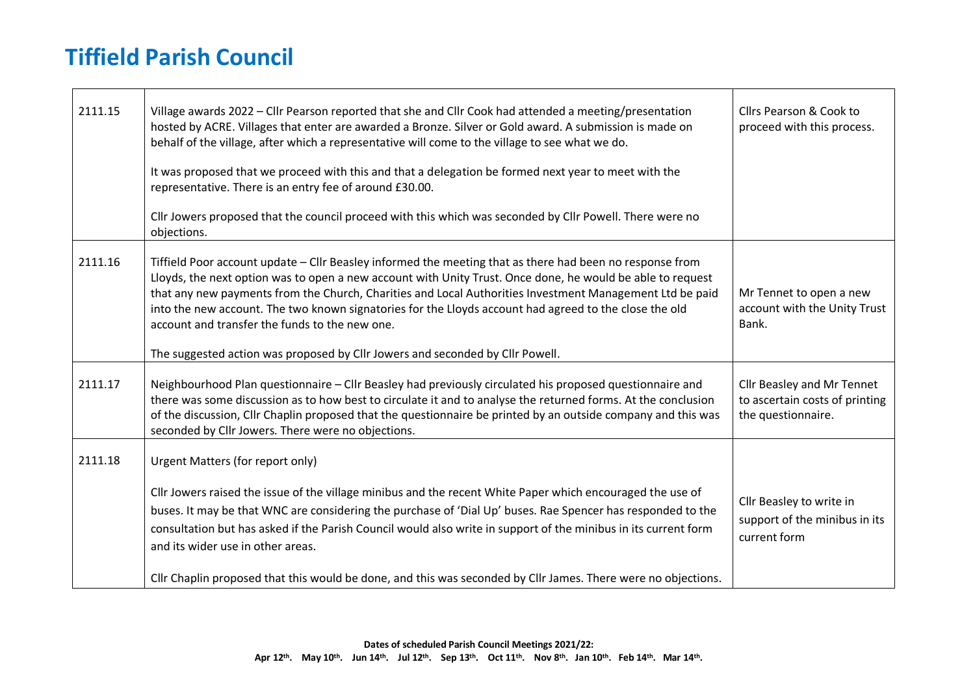┱

 $\blacksquare$ 

| 2111.15 | Village awards 2022 - Cllr Pearson reported that she and Cllr Cook had attended a meeting/presentation<br>hosted by ACRE. Villages that enter are awarded a Bronze. Silver or Gold award. A submission is made on<br>behalf of the village, after which a representative will come to the village to see what we do.<br>It was proposed that we proceed with this and that a delegation be formed next year to meet with the<br>representative. There is an entry fee of around £30.00.<br>Cllr Jowers proposed that the council proceed with this which was seconded by Cllr Powell. There were no<br>objections. | Cllrs Pearson & Cook to<br>proceed with this process.                              |
|---------|--------------------------------------------------------------------------------------------------------------------------------------------------------------------------------------------------------------------------------------------------------------------------------------------------------------------------------------------------------------------------------------------------------------------------------------------------------------------------------------------------------------------------------------------------------------------------------------------------------------------|------------------------------------------------------------------------------------|
| 2111.16 | Tiffield Poor account update - Cllr Beasley informed the meeting that as there had been no response from<br>Lloyds, the next option was to open a new account with Unity Trust. Once done, he would be able to request<br>that any new payments from the Church, Charities and Local Authorities Investment Management Ltd be paid<br>into the new account. The two known signatories for the Lloyds account had agreed to the close the old<br>account and transfer the funds to the new one.<br>The suggested action was proposed by Cllr Jowers and seconded by Cllr Powell.                                    | Mr Tennet to open a new<br>account with the Unity Trust<br>Bank.                   |
| 2111.17 | Neighbourhood Plan questionnaire - Cllr Beasley had previously circulated his proposed questionnaire and<br>there was some discussion as to how best to circulate it and to analyse the returned forms. At the conclusion<br>of the discussion, Cllr Chaplin proposed that the questionnaire be printed by an outside company and this was<br>seconded by Cllr Jowers. There were no objections.                                                                                                                                                                                                                   | Cllr Beasley and Mr Tennet<br>to ascertain costs of printing<br>the questionnaire. |
| 2111.18 | Urgent Matters (for report only)<br>Cllr Jowers raised the issue of the village minibus and the recent White Paper which encouraged the use of<br>buses. It may be that WNC are considering the purchase of 'Dial Up' buses. Rae Spencer has responded to the<br>consultation but has asked if the Parish Council would also write in support of the minibus in its current form<br>and its wider use in other areas.<br>Cllr Chaplin proposed that this would be done, and this was seconded by Cllr James. There were no objections.                                                                             | Cllr Beasley to write in<br>support of the minibus in its<br>current form          |